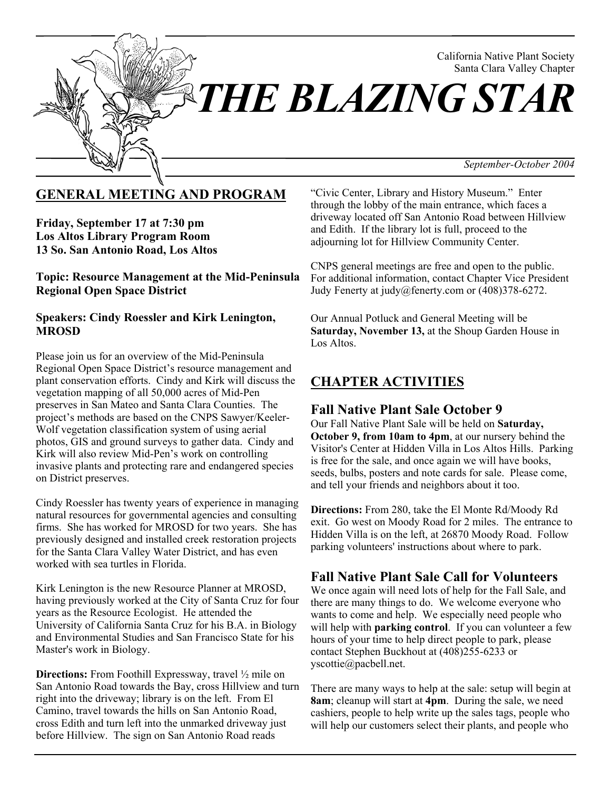

## **GENERAL MEETING AND PROGRAM**

**Friday, September 17 at 7:30 pm Los Altos Library Program Room 13 So. San Antonio Road, Los Altos**

**Topic: Resource Management at the Mid-Peninsula Regional Open Space District**

#### **Speakers: Cindy Roessler and Kirk Lenington, MROSD**

Please join us for an overview of the Mid-Peninsula Regional Open Space District's resource management and plant conservation efforts. Cindy and Kirk will discuss the vegetation mapping of all 50,000 acres of Mid-Pen preserves in San Mateo and Santa Clara Counties. The project's methods are based on the CNPS Sawyer/Keeler-Wolf vegetation classification system of using aerial photos, GIS and ground surveys to gather data. Cindy and Kirk will also review Mid-Pen's work on controlling invasive plants and protecting rare and endangered species on District preserves.

Cindy Roessler has twenty years of experience in managing natural resources for governmental agencies and consulting firms. She has worked for MROSD for two years. She has previously designed and installed creek restoration projects for the Santa Clara Valley Water District, and has even worked with sea turtles in Florida.

Kirk Lenington is the new Resource Planner at MROSD, having previously worked at the City of Santa Cruz for four years as the Resource Ecologist. He attended the University of California Santa Cruz for his B.A. in Biology and Environmental Studies and San Francisco State for his Master's work in Biology.

**Directions:** From Foothill Expressway, travel  $\frac{1}{2}$  mile on San Antonio Road towards the Bay, cross Hillview and turn right into the driveway; library is on the left. From El Camino, travel towards the hills on San Antonio Road, cross Edith and turn left into the unmarked driveway just before Hillview. The sign on San Antonio Road reads

"Civic Center, Library and History Museum." Enter through the lobby of the main entrance, which faces a driveway located off San Antonio Road between Hillview and Edith. If the library lot is full, proceed to the adjourning lot for Hillview Community Center.

CNPS general meetings are free and open to the public. For additional information, contact Chapter Vice President Judy Fenerty at judy@fenerty.com or (408)378-6272.

Our Annual Potluck and General Meeting will be **Saturday, November 13,** at the Shoup Garden House in Los Altos.

# **CHAPTER ACTIVITIES**

### **Fall Native Plant Sale October 9**

Our Fall Native Plant Sale will be held on **Saturday, October 9, from 10am to 4pm**, at our nursery behind the Visitor's Center at Hidden Villa in Los Altos Hills. Parking is free for the sale, and once again we will have books, seeds, bulbs, posters and note cards for sale. Please come, and tell your friends and neighbors about it too.

**Directions:** From 280, take the El Monte Rd/Moody Rd exit. Go west on Moody Road for 2 miles. The entrance to Hidden Villa is on the left, at 26870 Moody Road. Follow parking volunteers' instructions about where to park.

## **Fall Native Plant Sale Call for Volunteers**

We once again will need lots of help for the Fall Sale, and there are many things to do. We welcome everyone who wants to come and help. We especially need people who will help with **parking control**. If you can volunteer a few hours of your time to help direct people to park, please contact Stephen Buckhout at (408)255-6233 or yscottie@pacbell.net.

There are many ways to help at the sale: setup will begin at **8am**; cleanup will start at **4pm**. During the sale, we need cashiers, people to help write up the sales tags, people who will help our customers select their plants, and people who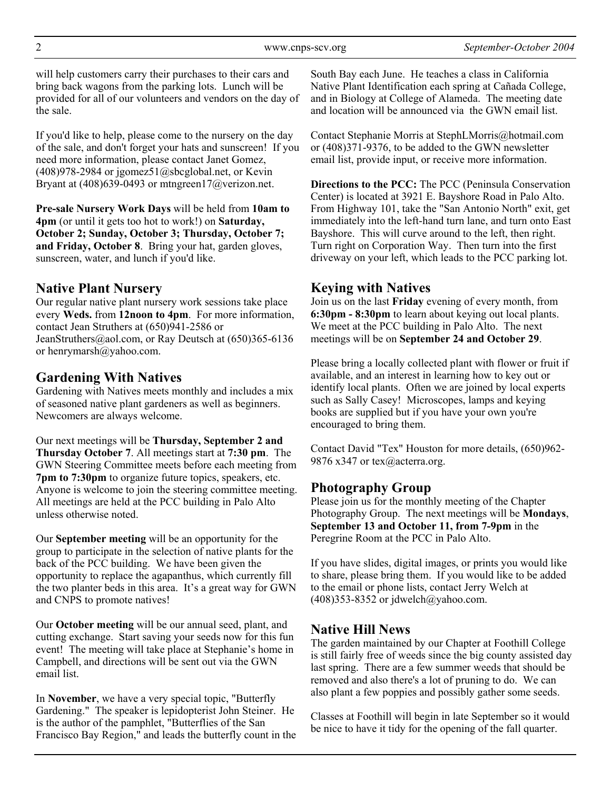will help customers carry their purchases to their cars and bring back wagons from the parking lots. Lunch will be provided for all of our volunteers and vendors on the day of the sale.

If you'd like to help, please come to the nursery on the day of the sale, and don't forget your hats and sunscreen! If you need more information, please contact Janet Gomez,  $(408)978-2984$  or jgomez $51$ @sbcglobal.net, or Kevin Bryant at (408)639-0493 or mtngreen17@verizon.net.

**Pre-sale Nursery Work Days** will be held from **10am to 4pm** (or until it gets too hot to work!) on **Saturday, October 2; Sunday, October 3; Thursday, October 7; and Friday, October 8**. Bring your hat, garden gloves, sunscreen, water, and lunch if you'd like.

### **Native Plant Nursery**

Our regular native plant nursery work sessions take place every **Weds.** from **12noon to 4pm**. For more information, contact Jean Struthers at (650)941-2586 or JeanStruthers@aol.com, or Ray Deutsch at (650)365-6136 or henrymarsh@yahoo.com.

## **Gardening With Natives**

Gardening with Natives meets monthly and includes a mix of seasoned native plant gardeners as well as beginners. Newcomers are always welcome.

Our next meetings will be **Thursday, September 2 and Thursday October 7**. All meetings start at **7:30 pm**. The GWN Steering Committee meets before each meeting from **7pm to 7:30pm** to organize future topics, speakers, etc. Anyone is welcome to join the steering committee meeting. All meetings are held at the PCC building in Palo Alto unless otherwise noted.

Our **September meeting** will be an opportunity for the group to participate in the selection of native plants for the back of the PCC building. We have been given the opportunity to replace the agapanthus, which currently fill the two planter beds in this area. It's a great way for GWN and CNPS to promote natives!

Our **October meeting** will be our annual seed, plant, and cutting exchange. Start saving your seeds now for this fun event! The meeting will take place at Stephanie's home in Campbell, and directions will be sent out via the GWN email list.

In **November**, we have a very special topic, "Butterfly Gardening." The speaker is lepidopterist John Steiner. He is the author of the pamphlet, "Butterflies of the San Francisco Bay Region," and leads the butterfly count in the

South Bay each June. He teaches a class in California Native Plant Identification each spring at Cañada College, and in Biology at College of Alameda. The meeting date and location will be announced via the GWN email list.

Contact Stephanie Morris at StephLMorris@hotmail.com or (408)371-9376, to be added to the GWN newsletter email list, provide input, or receive more information.

**Directions to the PCC:** The PCC (Peninsula Conservation Center) is located at 3921 E. Bayshore Road in Palo Alto. From Highway 101, take the "San Antonio North" exit, get immediately into the left-hand turn lane, and turn onto East Bayshore. This will curve around to the left, then right. Turn right on Corporation Way. Then turn into the first driveway on your left, which leads to the PCC parking lot.

# **Keying with Natives**

Join us on the last **Friday** evening of every month, from **6:30pm - 8:30pm** to learn about keying out local plants. We meet at the PCC building in Palo Alto. The next meetings will be on **September 24 and October 29**.

Please bring a locally collected plant with flower or fruit if available, and an interest in learning how to key out or identify local plants. Often we are joined by local experts such as Sally Casey! Microscopes, lamps and keying books are supplied but if you have your own you're encouraged to bring them.

Contact David "Tex" Houston for more details, (650)962- 9876 x347 or tex@acterra.org.

## **Photography Group**

Please join us for the monthly meeting of the Chapter Photography Group. The next meetings will be **Mondays**, **September 13 and October 11, from 7-9pm** in the Peregrine Room at the PCC in Palo Alto.

If you have slides, digital images, or prints you would like to share, please bring them. If you would like to be added to the email or phone lists, contact Jerry Welch at  $(408)353-8352$  or jdwelch@yahoo.com.

## **Native Hill News**

The garden maintained by our Chapter at Foothill College is still fairly free of weeds since the big county assisted day last spring. There are a few summer weeds that should be removed and also there's a lot of pruning to do. We can also plant a few poppies and possibly gather some seeds.

Classes at Foothill will begin in late September so it would be nice to have it tidy for the opening of the fall quarter.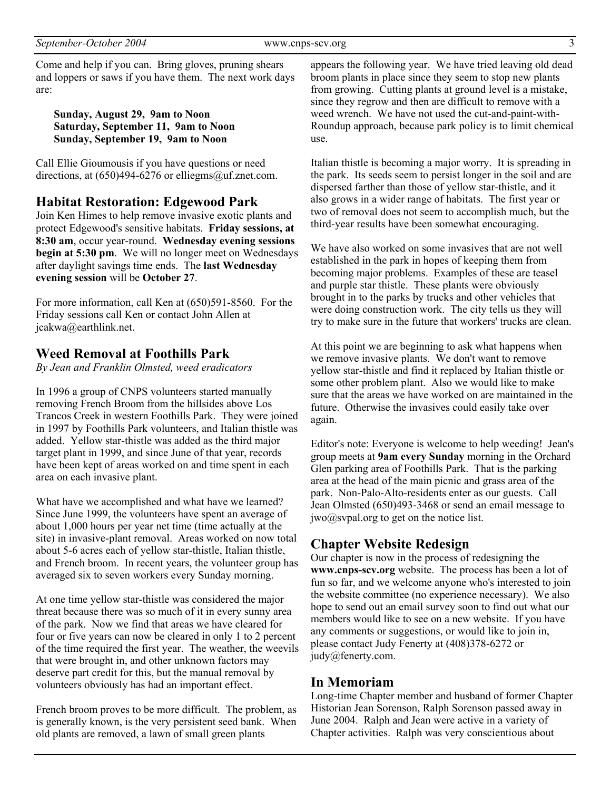Come and help if you can. Bring gloves, pruning shears and loppers or saws if you have them. The next work days are:

**Sunday, August 29, 9am to Noon Saturday, September 11, 9am to Noon Sunday, September 19, 9am to Noon**

Call Ellie Gioumousis if you have questions or need directions, at  $(650)494-6276$  or elliegms@uf.znet.com.

#### **Habitat Restoration: Edgewood Park**

Join Ken Himes to help remove invasive exotic plants and protect Edgewood's sensitive habitats. **Friday sessions, at 8:30 am**, occur year-round. **Wednesday evening sessions begin at 5:30 pm**. We will no longer meet on Wednesdays after daylight savings time ends. The **last Wednesday evening session** will be **October 27**.

For more information, call Ken at (650)591-8560. For the Friday sessions call Ken or contact John Allen at jcakwa@earthlink.net.

#### **Weed Removal at Foothills Park**

*By Jean and Franklin Olmsted, weed eradicators*

In 1996 a group of CNPS volunteers started manually removing French Broom from the hillsides above Los Trancos Creek in western Foothills Park. They were joined in 1997 by Foothills Park volunteers, and Italian thistle was added. Yellow star-thistle was added as the third major target plant in 1999, and since June of that year, records have been kept of areas worked on and time spent in each area on each invasive plant.

What have we accomplished and what have we learned? Since June 1999, the volunteers have spent an average of about 1,000 hours per year net time (time actually at the site) in invasive-plant removal. Areas worked on now total about 5-6 acres each of yellow star-thistle, Italian thistle, and French broom. In recent years, the volunteer group has averaged six to seven workers every Sunday morning.

At one time yellow star-thistle was considered the major threat because there was so much of it in every sunny area of the park. Now we find that areas we have cleared for four or five years can now be cleared in only 1 to 2 percent of the time required the first year. The weather, the weevils that were brought in, and other unknown factors may deserve part credit for this, but the manual removal by volunteers obviously has had an important effect.

French broom proves to be more difficult. The problem, as is generally known, is the very persistent seed bank. When old plants are removed, a lawn of small green plants

appears the following year. We have tried leaving old dead broom plants in place since they seem to stop new plants from growing. Cutting plants at ground level is a mistake, since they regrow and then are difficult to remove with a weed wrench. We have not used the cut-and-paint-with-Roundup approach, because park policy is to limit chemical use.

Italian thistle is becoming a major worry. It is spreading in the park. Its seeds seem to persist longer in the soil and are dispersed farther than those of yellow star-thistle, and it also grows in a wider range of habitats. The first year or two of removal does not seem to accomplish much, but the third-year results have been somewhat encouraging.

We have also worked on some invasives that are not well established in the park in hopes of keeping them from becoming major problems. Examples of these are teasel and purple star thistle. These plants were obviously brought in to the parks by trucks and other vehicles that were doing construction work. The city tells us they will try to make sure in the future that workers' trucks are clean.

At this point we are beginning to ask what happens when we remove invasive plants. We don't want to remove yellow star-thistle and find it replaced by Italian thistle or some other problem plant. Also we would like to make sure that the areas we have worked on are maintained in the future. Otherwise the invasives could easily take over again.

Editor's note: Everyone is welcome to help weeding! Jean's group meets at **9am every Sunday** morning in the Orchard Glen parking area of Foothills Park. That is the parking area at the head of the main picnic and grass area of the park. Non-Palo-Alto-residents enter as our guests. Call Jean Olmsted (650)493-3468 or send an email message to jwo@svpal.org to get on the notice list.

#### **Chapter Website Redesign**

Our chapter is now in the process of redesigning the **www.cnps-scv.org** website. The process has been a lot of fun so far, and we welcome anyone who's interested to join the website committee (no experience necessary). We also hope to send out an email survey soon to find out what our members would like to see on a new website. If you have any comments or suggestions, or would like to join in, please contact Judy Fenerty at (408)378-6272 or judy@fenerty.com.

#### **In Memoriam**

Long-time Chapter member and husband of former Chapter Historian Jean Sorenson, Ralph Sorenson passed away in June 2004. Ralph and Jean were active in a variety of Chapter activities. Ralph was very conscientious about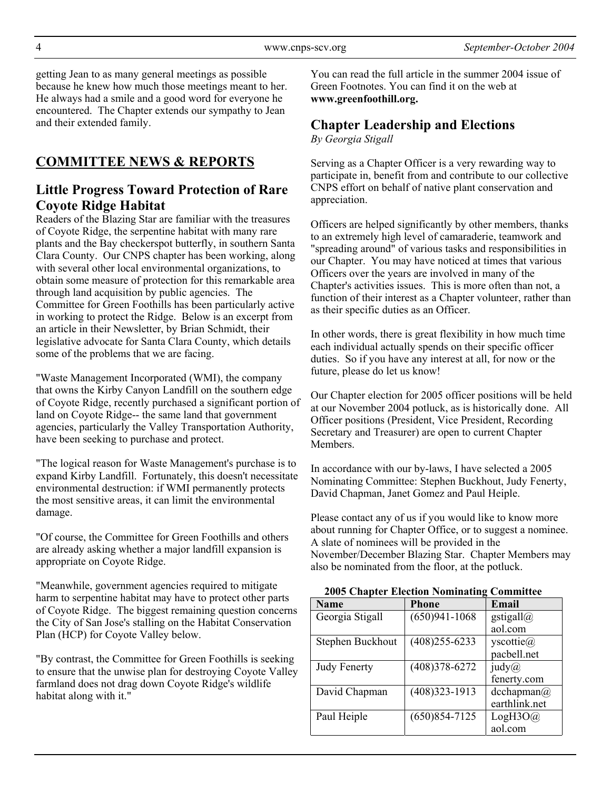getting Jean to as many general meetings as possible because he knew how much those meetings meant to her. He always had a smile and a good word for everyone he encountered. The Chapter extends our sympathy to Jean and their extended family.

# **COMMITTEE NEWS & REPORTS**

### **Little Progress Toward Protection of Rare Coyote Ridge Habitat**

Readers of the Blazing Star are familiar with the treasures of Coyote Ridge, the serpentine habitat with many rare plants and the Bay checkerspot butterfly, in southern Santa Clara County. Our CNPS chapter has been working, along with several other local environmental organizations, to obtain some measure of protection for this remarkable area through land acquisition by public agencies. The Committee for Green Foothills has been particularly active in working to protect the Ridge. Below is an excerpt from an article in their Newsletter, by Brian Schmidt, their legislative advocate for Santa Clara County, which details some of the problems that we are facing.

"Waste Management Incorporated (WMI), the company that owns the Kirby Canyon Landfill on the southern edge of Coyote Ridge, recently purchased a significant portion of land on Coyote Ridge-- the same land that government agencies, particularly the Valley Transportation Authority, have been seeking to purchase and protect.

"The logical reason for Waste Management's purchase is to expand Kirby Landfill. Fortunately, this doesn't necessitate environmental destruction: if WMI permanently protects the most sensitive areas, it can limit the environmental damage.

"Of course, the Committee for Green Foothills and others are already asking whether a major landfill expansion is appropriate on Coyote Ridge.

"Meanwhile, government agencies required to mitigate harm to serpentine habitat may have to protect other parts of Coyote Ridge. The biggest remaining question concerns the City of San Jose's stalling on the Habitat Conservation Plan (HCP) for Coyote Valley below.

"By contrast, the Committee for Green Foothills is seeking to ensure that the unwise plan for destroying Coyote Valley farmland does not drag down Coyote Ridge's wildlife habitat along with it."

You can read the full article in the summer 2004 issue of Green Footnotes. You can find it on the web at **www.greenfoothill.org.**

### **Chapter Leadership and Elections**

*By Georgia Stigall*

Serving as a Chapter Officer is a very rewarding way to participate in, benefit from and contribute to our collective CNPS effort on behalf of native plant conservation and appreciation.

Officers are helped significantly by other members, thanks to an extremely high level of camaraderie, teamwork and "spreading around" of various tasks and responsibilities in our Chapter. You may have noticed at times that various Officers over the years are involved in many of the Chapter's activities issues. This is more often than not, a function of their interest as a Chapter volunteer, rather than as their specific duties as an Officer.

In other words, there is great flexibility in how much time each individual actually spends on their specific officer duties. So if you have any interest at all, for now or the future, please do let us know!

Our Chapter election for 2005 officer positions will be held at our November 2004 potluck, as is historically done. All Officer positions (President, Vice President, Recording Secretary and Treasurer) are open to current Chapter **Members** 

In accordance with our by-laws, I have selected a 2005 Nominating Committee: Stephen Buckhout, Judy Fenerty, David Chapman, Janet Gomez and Paul Heiple.

Please contact any of us if you would like to know more about running for Chapter Office, or to suggest a nominee. A slate of nominees will be provided in the November/December Blazing Star. Chapter Members may also be nominated from the floor, at the potluck.

 **2005 Chapter Election Nominating Committee**

| <b>Name</b>         | <b>Phone</b>      | Email              |
|---------------------|-------------------|--------------------|
| Georgia Stigall     | $(650)941 - 1068$ | gstigall $@$       |
|                     |                   | aol.com            |
| Stephen Buckhout    | $(408)$ 255-6233  | yscottie $(a)$     |
|                     |                   | pacbell.net        |
| <b>Judy Fenerty</b> | $(408)378 - 6272$ | iudy@              |
|                     |                   | fenerty.com        |
| David Chapman       | $(408)323 - 1913$ | $d$ cchapman $(a)$ |
|                     |                   | earthlink.net      |
| Paul Heiple         | $(650)854 - 7125$ | LogH3O@            |
|                     |                   | aol.com            |